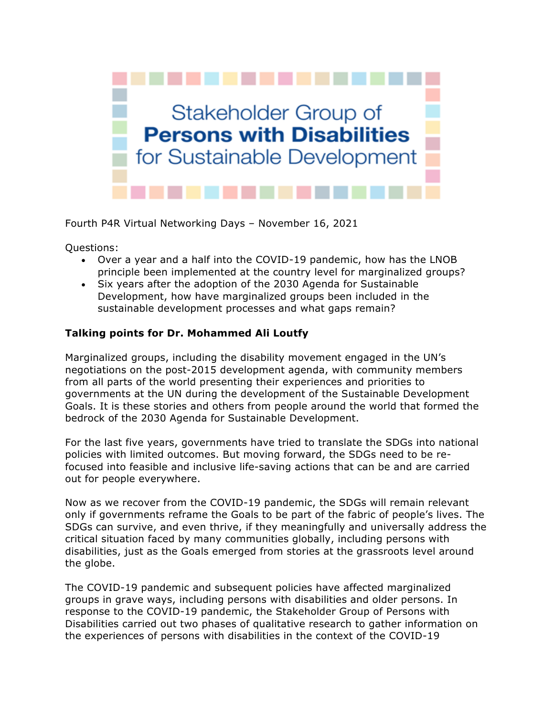

Fourth P4R Virtual Networking Days – November 16, 2021

Questions:

- Over a year and a half into the COVID-19 pandemic, how has the LNOB principle been implemented at the country level for marginalized groups?
- Six years after the adoption of the 2030 Agenda for Sustainable Development, how have marginalized groups been included in the sustainable development processes and what gaps remain?

## **Talking points for Dr. Mohammed Ali Loutfy**

Marginalized groups, including the disability movement engaged in the UN's negotiations on the post-2015 development agenda, with community members from all parts of the world presenting their experiences and priorities to governments at the UN during the development of the Sustainable Development Goals. It is these stories and others from people around the world that formed the bedrock of the 2030 Agenda for Sustainable Development.

For the last five years, governments have tried to translate the SDGs into national policies with limited outcomes. But moving forward, the SDGs need to be refocused into feasible and inclusive life-saving actions that can be and are carried out for people everywhere.

Now as we recover from the COVID-19 pandemic, the SDGs will remain relevant only if governments reframe the Goals to be part of the fabric of people's lives. The SDGs can survive, and even thrive, if they meaningfully and universally address the critical situation faced by many communities globally, including persons with disabilities, just as the Goals emerged from stories at the grassroots level around the globe.

The COVID-19 pandemic and subsequent policies have affected marginalized groups in grave ways, including persons with disabilities and older persons. In response to the COVID-19 pandemic, the Stakeholder Group of Persons with Disabilities carried out two phases of qualitative research to gather information on the experiences of persons with disabilities in the context of the COVID-19